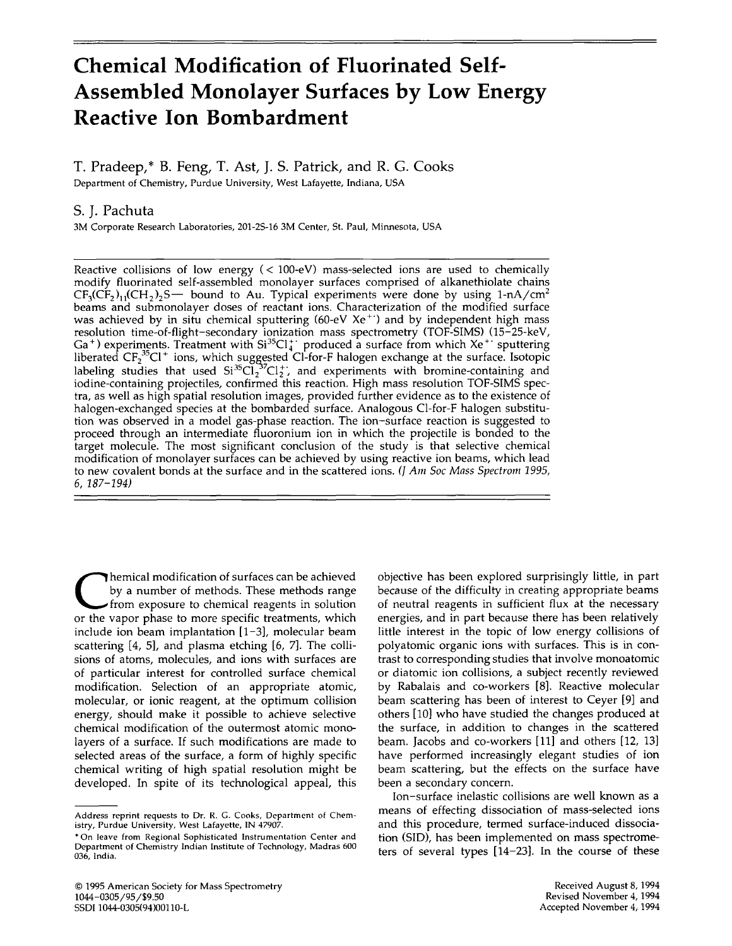# **Chemical Modification of Fluorinated Self-Assembled Monolayer Surfaces by Low Energy Reactive Ion Bombardment**

## T. Pradeep,\* B. Feng, T. Ast, J. S. Patrick, and R. G. Cooks

Department of Chemistry, Purdue University, West Lafayette, Indiana, USA

## S. J. Pachuta

3M Corporate Research Laboratories, 201-25-16 3M Center, St. Paul, Minnesota, USA

Reactive collisions of low energy  $(< 100-eV$ ) mass-selected ions are used to chemically modify fluorinated self-assembled monolayer surfaces comprised of alkanethiolate chains  $CF<sub>3</sub>(CF<sub>2</sub>)<sub>11</sub>(CH<sub>2</sub>)<sub>2</sub>$ S- bound to Au. Typical experiments were done by using 1-nA/cm<sup>2</sup> beams and submonolayer doses of reactant ions. Characterization of the modified surface was achieved by in situ chemical sputtering  $(60-eV Xe^{+})$  and by independent high mass resolution time-of-flight-secondary ionization mass spectrometry (TOF-SIMS) (15-25-keV, Ga\*) experiments. Treatment with Si<sup>35</sup>Cl‡' produced a surface from which Xe\*' sputtering<br>liberated CF2<sup>35</sup>Cl\* ions, which suggested Cl-for-F halogen exchange at the surface. Isotopic labeling studies that used  $Si^{35}Cl_2^{137}Cl_2^+$ , and experiments with bromine-containing and iodine-containing projectiles, confirmed this reaction. High mass resolution TOF-SIMS spectra, as well as high spatial resolution images, provided further evidence as to the existence of halogen-exchanged species at the bombarded surface. Analogous Cl-for-F halogen substitution was observed in a model gas-phase reaction. The ion- surface reaction is suggested to proceed through an intermediate fluoronium ion in which the projectile is bonded to the target molecule. The most significant conclusion of the study is that selective chemical modification of monolayer surfaces can be achieved by using reactive ion beams, which lead to new covalent bonds at the surface and in the scattered ions. *(J Am Soc Mass Specirom 1995,* 6, 187-194)

Themical modification of surfaces can be achieved<br>by a number of methods. These methods range<br>from exposure to chemical reagents in solution<br>or the vapor phase to more specific treatments, which hemical modification of surfaces can be achieved by a number of methods. These methods range from exposure to chemical reagents in solution include ion beam implantation [1-3], molecular beam scattering [4, 5], and plasma etching [6, 7]. The collisions of atoms, molecules, and ions with surfaces are of particular interest for controlled surface chemical modification. Selection of an appropriate atomic, molecular, or ionic reagent, at the optimum collision energy, should make it possible to achieve selective chemical modification of the outermost atomic monolayers of a surface. If such modifications are made to selected areas of the surface, a form of highly specific chemical writing of high spatial resolution might be developed. In spite of its technological appeal, this

objective has been explored surprisingly little, in part because of the difficulty in creating appropriate beams of neutral reagents in sufficient flux at the necessary energies, and in part because there has been relatively little interest in the topic of low energy collisions of polyatomic organic ions with surfaces. This is in contrast to corresponding studies that involve monoatomic or diatomic ion collisions, a subject recently reviewed by Rabalais and co-workers [8]. Reactive molecular beam scattering has been of interest to Ceyer [9] and others [10] who have studied the changes produced at the surface, in addition to changes in the scattered beam. Jacobs and co-workers [11] and others [12, 13] have performed increasingly elegant studies of ion beam scattering, but the effects on the surface have been a secondary concern.

Ion-surface inelastic collisions are well known as a means of effecting dissociation of mass-selected ions and this procedure, termed surface-induced dissociation (SID), has been implemented on mass spectrometers of several types [14-23]. In the course of these

Address reprint requests to Dr. R. G. Cooks, Department of Chemistry, Purdue University, West Lafayette, IN 47907

<sup>\*</sup> On leave from Regional Sophisticated Instrumentation Center and Department of Chemistry Indian Institute of Technology, Madras 600 036, India.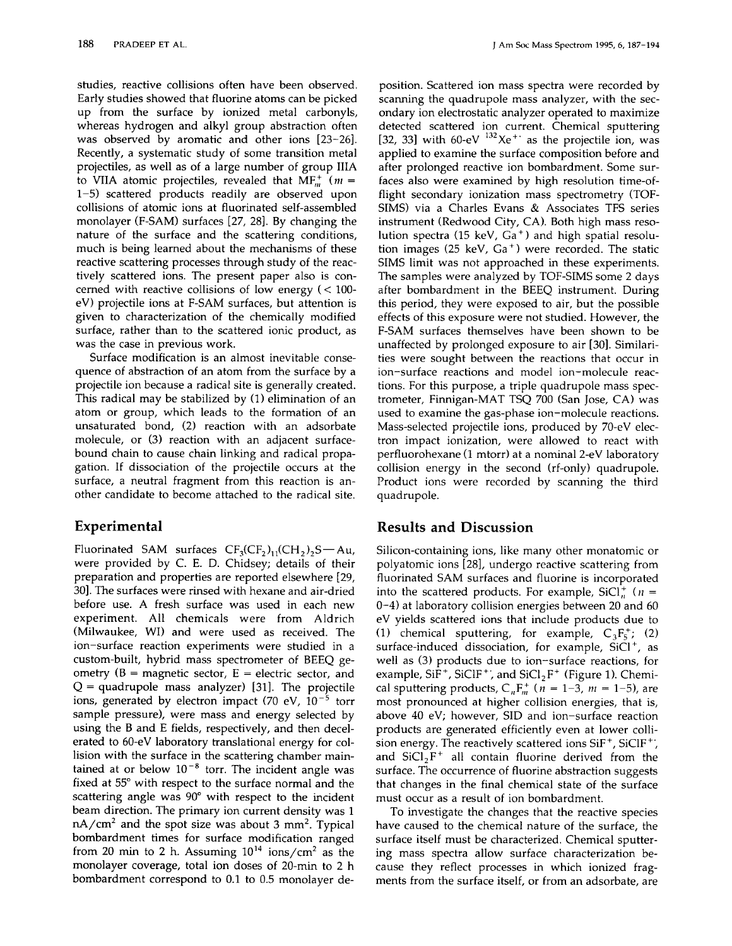studies, reactive collisions often have been observed. Early studies showed that fluorine atoms can be picked up from the surface by ionized metal carbonyls, whereas hydrogen and alkyl group abstraction often was observed by aromatic and other ions [23-26]. Recently, a systematic study of some transition metal projectiles, as well as of a large number of group lIlA to VIIA atomic projectiles, revealed that  $MF<sub>m</sub><sup>+</sup>$  (*m* = 1-5) scattered products readily are observed upon collisions of atomic ions at fluorinated self-assembled monolayer (F-SAM) surfaces [27, 28]. By changing the nature of the surface and the scattering conditions, much is being learned about the mechanisms of these reactive scattering processes through study of the reactively scattered ions. The present paper also is concerned with reactive collisions of low energy  $(< 100$ eV) projectile ions at F-SAM surfaces, but attention is given to characterization of the chemically modified surface, rather than to the scattered ionic product, as was the case in previous work.

Surface modification is an almost inevitable consequence of abstraction of an atom from the surface by a projectile ion because a radical site is generally created. This radical may be stabilized by (1) elimination of an atom or group, which leads to the formation of an unsaturated bond, (2) reaction with an adsorbate molecule, or (3) reaction with an adjacent surfacebound chain to cause chain linking and radical propagation. If dissociation of the projectile occurs at the surface, a neutral fragment from this reaction is another candidate to become attached to the radical site .

#### **Experimental**

Fluorinated SAM surfaces  $CF_3(CF_2)_{11}(CH_2)_2S-Au$ , were provided by C. E. D. Chidsey; details of their preparation and properties are reported elsewhere [29, 30]. The surfaces were rinsed with hexane and air-dried before use. A fresh surface was used in each new experiment. All chemicals were from Aldrich (Milwaukee, WI) and were used as received. The ion-surface reaction experiments were studied in a custom-built, hybrid mass spectrometer of BEEQ geometry  $(B = magnetic sector, E = electric sector, and$ Q = quadrupole mass analyzer) [31). The projectile ions, generated by electron impact (70 eV,  $10^{-5}$  torr sample pressure), were mass and energy selected by using the Band E fields, respectively, and then decelerated to 60-eV laboratory translational energy for collision with the surface in the scattering chamber maintained at or below  $10^{-8}$  torr. The incident angle was fixed at 55° with respect to the surface normal and the scattering angle was 90° with respect to the incident beam direction. The primary ion current density was 1  $nA/cm<sup>2</sup>$  and the spot size was about 3 mm<sup>2</sup>. Typical bombardment times for surface modification ranged from 20 min to 2 h. Assuming  $10^{14}$  ions/cm<sup>2</sup> as the monolayer coverage, total ion doses of 20-min to 2 h bombardment correspond to 0.1 to 0.5 monolayer de-

position. Scattered ion mass spectra were recorded by scanning the quadrupole mass analyzer, with the secondary ion electrostatic analyzer operated to maximize detected scattered ion current. Chemical sputtering [32, 33] with  $60$ -eV  $^{132}$ Xe<sup>++</sup> as the projectile ion, was applied to examine the surface composition before and after prolonged reactive ion bombardment. Some surfaces also were examined by high resolution time-offlight secondary ionization mass spectrometry (TOF-SIMS) via a Charles Evans & Associates TFS series instrument (Redwood City, CA). Both high mass resolution spectra (15 keV,  $Ga<sup>+</sup>$ ) and high spatial resolution images (25 keV,  $Ga<sup>+</sup>$ ) were recorded. The static SIMS limit was not approached in these experiments. The samples were analyzed by TOF-SIMS some 2 days after bombardment in the BEEQ instrument. During this period, they were exposed to air, but the possible effects of this exposure were not studied. However, the F-SAM surfaces themselves have been shown to be unaffected by prolonged exposure to air [30]. Similarities were sought between the reactions that occur in ion-surface reactions and model ion-molecule reactions. For this purpose, a triple quadrupole mass spectrometer, Finnigan-MAT TSQ 700 (San Jose, CA) was used to examine the gas-phase ion-molecule reactions. Mass-selected projectile ions, produced by 70-eV electron impact ionization, were allowed to react with perfluorohexane (1 mtorr) at a nominal 2-eV laboratory collision energy in the second (rf-only) quadrupole. Product ions were recorded by scanning the third quadrupole.

#### **Results and Discussion**

Silicon-containing ions, like many other monatomic or polyatomic ions [28], undergo reactive scattering from fluorinated SAM surfaces and fluorine is incorporated into the scattered products. For example,  $SiCl<sub>n</sub><sup>+</sup>$  ( $n=$ 0-4) at laboratory collision energies between 20 and 60 eV yields scattered ions that include products due to (1) chemical sputtering, for example,  $C_3F_5^+$ ; (2) surface-induced dissociation, for example,  $SiCl<sup>+</sup>$ , as well as (3) products due to ion-surface reactions, for example,  $SiF^+$ ,  $SiClF^+$ , and  $SiCl_2F^+$  (Figure 1). Chemical sputtering products,  $C_nF_m^+$  ( $n = 1-3$ ,  $m = 1-5$ ), are most pronounced at higher collision energies, that is, above 40 eV; however, SID and ion-surface reaction products are generated efficiently even at lower collision energy. The reactively scattered ions  $SiF^+$ ,  $SiClF^+$ ; and  $SiCl<sub>2</sub>F<sup>+</sup>$  all contain fluorine derived from the surface. The occurrence of fluorine abstraction suggests that changes in the final chemical state of the surface must occur as a result of ion bombardment.

To investigate the changes that the reactive species have caused to the chemical nature of the surface, the surface itself must be characterized. Chemical sputtering mass spectra allow surface characterization because they reflect processes in which ionized fragments from the surface itself, or from an adsorbate, are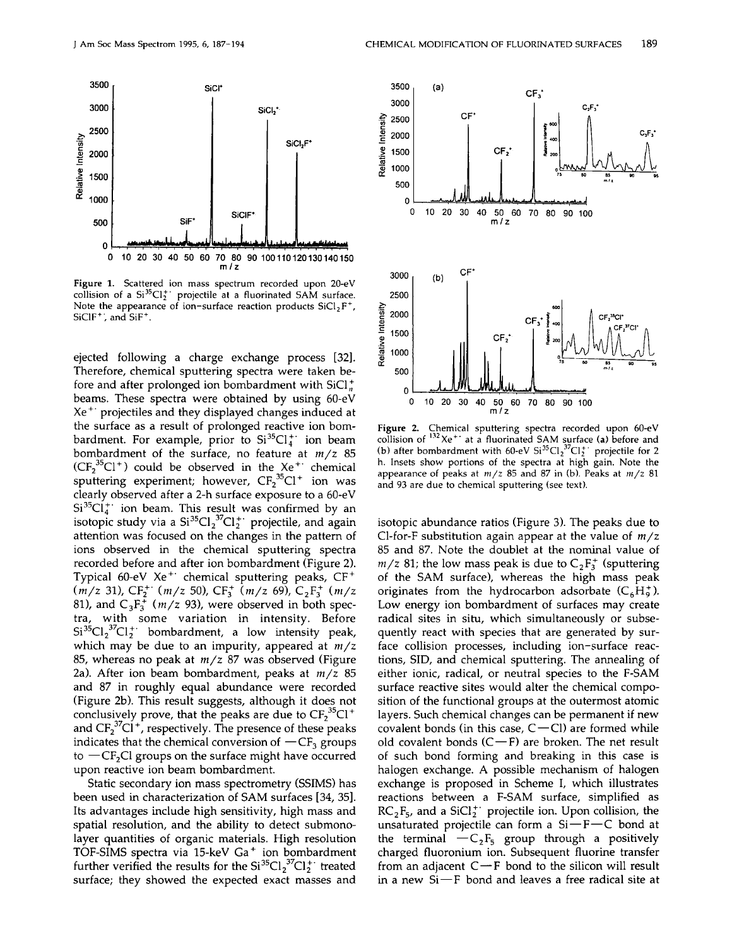

Figure 1. Scattered ion mass spectrum recorded upon 20-eV collision of a Si<sup>35</sup>Cl<sub>2</sub><sup>+</sup> projectile at a fluorinated SAM surface. Note the appearance of ion-surface reaction products  $SiCl<sub>2</sub>F<sup>+</sup>$ ,  $SiClF^+$ , and  $SiF^+$ .

ejected following a charge exchange process [32]. Therefore, chemical sputtering spectra were taken before and after prolonged ion bombardment with  $SiCl<sub>n</sub><sup>+</sup>$ beams. These spectra were obtained by using 60-eV  $Xe^{+}$  projectiles and they displayed changes induced at the surface as a result of prolonged reactive ion bombardment. For example, prior to  $Si^{35}Cl_4^+$  ion beam bombardment of the surface, no feature at  $m/z$  85  $(CF<sub>2</sub><sup>35</sup>C1<sup>+</sup>)$  could be observed in the Xe<sup>++</sup> chemical sputtering experiment; however,  $CF_2^{35}Cl^+$  ion was clearly observed after a 2-h surface exposure to a 60-eV  $Si^{35}Cl_4^+$  ion beam. This result was confirmed by an isotopic study via a  $Si^{35}Cl_2^{37}Cl_2^{+}$  projectile, and again attention was focused on the changes in the pattern of ions observed in the chemical sputtering spectra recorded before and after ion bombardment (Figure 2). Typical 60-eV Xe<sup>+</sup> chemical sputtering peaks,  $CF<sup>+</sup>$ *(m/z* 31), CF<sub>2</sub><sup>+</sup> *(m/z* 50), CF<sub>3</sub><sup>+</sup> *(m/z* 69), C<sub>2</sub>F<sub>3</sub><sup>+</sup> *(m/z*) 81), and  $C_3F_3^+$  ( $m/z$  93), were observed in both spectra, with some variation in intensity. Before  $Si^{35}Cl_2^{37}Cl_2^{+}$  bombardment, a low intensity peak, which may be due to an impurity, appeared at  $m/z$ 85, whereas no peak at *mrz* 87 was observed (Figure Za). After ion beam bombardment, peaks at *mrz <sup>85</sup>* and 87 in roughly equal abundance were recorded (Figure Zb). This result suggests, although it does not conclusively prove, that the peaks are due to  $CF_2^{\text{3D}}Cl^+$ and  $CF_2^{\,3}$ Cl<sup>+</sup>, respectively. The presence of these peaks indicates that the chemical conversion of  $-CF_3$  groups to  $-CF<sub>2</sub>Cl$  groups on the surface might have occurred upon reactive ion beam bombardment.

Static secondary ion mass spectrometry (SSIMS) has been used in characterization of SAM surfaces [34, 35]. Its advantages include high sensitivity, high mass and spatial resolution, and the ability to detect submonolayer quantities of organic materials. High resolution TOF-SIMS spectra via 15-keV Ga<sup>+</sup> ion bombardment further verified the results for the  $Si^{35}Cl_2^{37}Cl_2^+$  treated surface; they showed the expected exact masses and



Figure 2. Chemical sputtering spectra recorded upon 60-eV collision of <sup>132</sup>Xe<sup>++</sup> at a fluorinated SAM surface (a) before and (b) after bombardment with 60-eV  $Si^{35}Cl_2^{37}Cl_2^{+}$  projectile for 2 h. Insets show portions of the spectra at high gain. Note the appearance of peaks at  $m/z$  85 and 87 in (b). Peaks at  $m/z$  81 and 93 are due to chemical sputtering (see text).

isotopic abundance ratios (Figure 3). The peaks due to Cl-for-F substitution again appear at the value of  $m/z$ 85 and 87. Note the doublet at the nominal value of  $m/z$  81; the low mass peak is due to  $C_2F_3^+$  (sputtering of the SAM surface), whereas the high mass peak originates from the hydrocarbon adsorbate  $(C_6H_9^+)$ . Low energy ion bombardment of surfaces may create radical sites in situ, which simultaneously or subsequently react with species that are generated by surface collision processes, including ion-surface reactions, SID, and chemical sputtering. The annealing of either ionic, radical, or neutral species to the F-SAM surface reactive sites would alter the chemical composition of the functional groups at the outermost atomic layers. Such chemical changes can be permanent if new covalent bonds (in this case,  $C-Cl$ ) are formed while old covalent bonds  $(C-F)$  are broken. The net result of such bond forming and breaking in this case is halogen exchange. A possible mechanism of halogen exchange is proposed in Scheme I, which illustrates reactions between a F-SAM surface, simplified as  $RC_2F_5$ , and a SiCl<sup>+</sup> projectile ion. Upon collision, the unsaturated projectile can form a  $Si-F-C$  bond at the terminal  $-C_2F_5$  group through a positively charged fluoronium ion. Subsequent fluorine transfer from an adjacent  $C \rightarrow F$  bond to the silicon will result in a new  $Si-F$  bond and leaves a free radical site at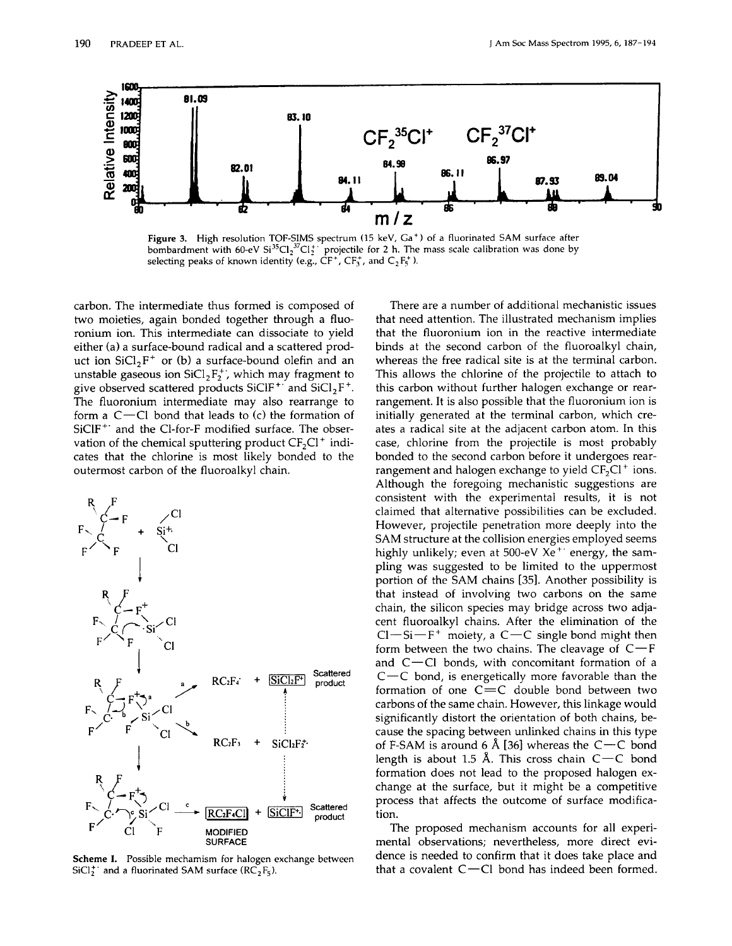

Figure 3. High resolution TOF-SIMS spectrum (15 keV,  $Ga<sup>+</sup>$ ) of a fluorinated SAM surface after bombardment with 60-eV  $Si^{35}Cl_2^{37}Cl_2^{+}$  projectile for 2 h. The mass scale calibration was done by selecting peaks of known identity (e.g.,  $CF^+$ ,  $CF_3^+$ , and  $C_2F_5^+$ ).

carbon. The intermediate thus formed is composed of two moieties, again bonded together through a fluoronium ion. This intermediate can dissociate to yield either (a) a surface-bound radical and a scattered product ion  $SiCl<sub>2</sub>F<sup>+</sup>$  or (b) a surface-bound olefin and an unstable gaseous ion  $SiCl<sub>2</sub>F<sub>2</sub><sup>+</sup>$ , which may fragment to give observed scattered products SiClF<sup>+</sup> and  $SiCl<sub>2</sub>F<sup>+</sup>$ . The fluoronium intermediate may also rearrange to form a  $C-Cl$  bond that leads to  $(c)$  the formation of SiClF<sup>+</sup>' and the Cl-for-F modified surface. The observation of the chemical sputtering product  $CF_2Cl^+$  indicates that the chlorine is most likely bonded to the outermost carbon of the fluoroalkyl chain.



Scheme I. Possible mechamism for halogen exchange between  $SiCl<sub>2</sub><sup>+</sup>$  and a fluorinated SAM surface (RC<sub>2</sub>F<sub>5</sub>).

There are a number of additional mechanistic issues that need attention. The illustrated mechanism implies that the fluoronium ion in the reactive intermediate binds at the second carbon of the fluoroalkyl chain, whereas the free radical site is at the terminal carbon. This allows the chlorine of the projectile to attach to this carbon without further halogen exchange or rearrangement. It is also possible that the fluoronium ion is initially generated at the terminal carbon, which creates a radical site at the adjacent carbon atom. In this case, chlorine from the projectile is most probably bonded to the second carbon before it undergoes rearrangement and halogen exchange to yield  $CF_2Cl^+$  ions. Although the foregoing mechanistic suggestions are consistent with the experimental results, it is not claimed that alternative possibilities can be excluded. However, projectile penetration more deeply into the SAM structure at the collision energies employed seems highly unlikely; even at  $500$ -eV Xe<sup>++</sup> energy, the sampling was suggested to be limited to the uppermost portion of the SAM chains [35]. Another possibility is that instead of involving two carbons on the same chain, the silicon species may bridge across two adjacent fluoroalkyl chains. After the elimination of the  $Cl-Si-F^+$  moiety, a  $C-C$  single bond might then form between the two chains. The cleavage of  $C-F$ and  $C-Cl$  bonds, with concomitant formation of a  $C-C$  bond, is energetically more favorable than the formation of one  $C=C$  double bond between two carbons of the same chain. However, this linkage would significantly distort the orientation of both chains, because the spacing between unlinked chains in this type of F-SAM is around 6 Å [36] whereas the  $C-C$  bond length is about 1.5 Å. This cross chain  $C-C$  bond formation does not lead to the proposed halogen exchange at the surface, but it might be a competitive process that affects the outcome of surface modification.

The proposed mechanism accounts for all experimental observations; nevertheless, more direct evidence is needed to confirm that it does take place and that a covalent  $C-Cl$  bond has indeed been formed.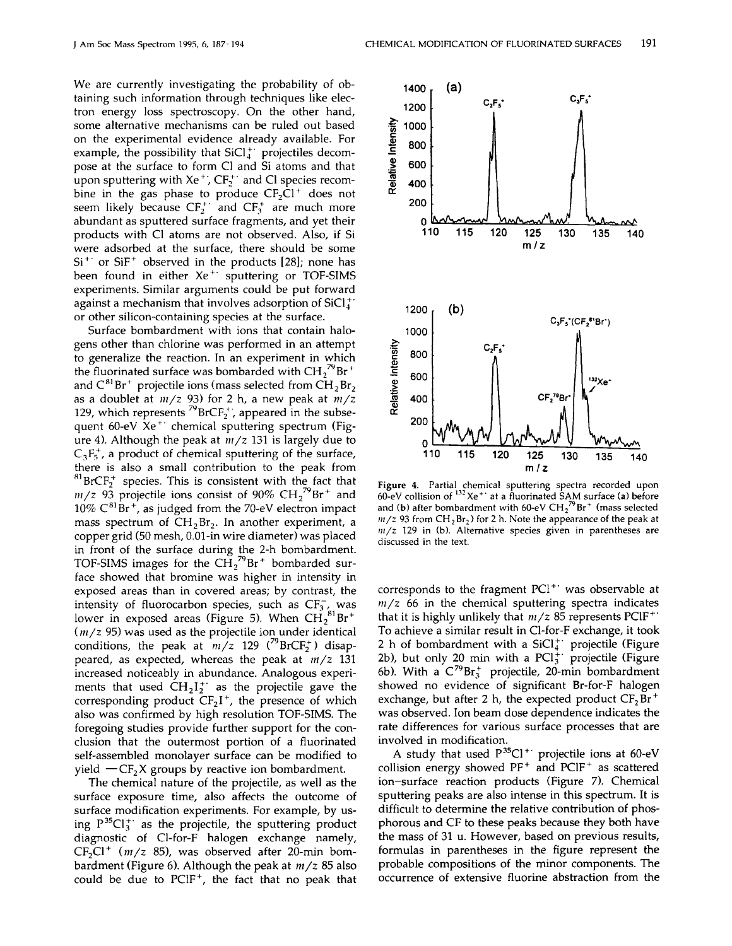We are currently investigating the probability of obtaining such information through techniques like electron energy loss spectroscopy. On the other hand, some alternative mechanisms can be ruled out based on the experimental evidence already available. For example, the possibility that  $SiCl<sub>4</sub><sup>+</sup>$  projectiles decompose at the surface to form CI and Si atoms and that upon sputtering with Xe<sup>+</sup>',  $CF_2^+$  and CI species recombine in the gas phase to produce  $CF_2Cl^+$  does not seem likely because  $CF_2^+$  and  $CF_3^+$  are much more abundant as sputtered surface fragments, and yet their products with CI atoms are not observed. Also, if Si were adsorbed at the surface, there should be some  $Si^{+}$  or  $SiF^{+}$  observed in the products [28]; none has been found in either Xe<sup>+</sup>' sputtering or TOF-SIMS experiments. Similar arguments could be put forward against a mechanism that involves adsorption of  $SiCl<sub>4</sub><sup>+</sup>$ or other silicon-containing species at the surface.

Surface bombardment with ions that contain halogens other than chlorine was performed in an attempt to generalize the reaction. In an experiment in which the fluorinated surface was bombarded with  $CH<sub>2</sub><sup>79</sup>Br<sup>+</sup>$ and C <sup>81</sup>Br' projectile ions (mass selected from *CH z*Br, as a doublet at  $m/z$  93) for 2 h, a new peak at  $m/z$ 129, which represents <sup>79</sup>BrCF<sub>2</sub><sup>+</sup>, appeared in the subsequent 60-eV Xe<sup>+</sup>' chemical sputtering spectrum (Figure 4). Although the peak at  $m/z$  131 is largely due to  $C_3F_5^+$ , a product of chemical sputtering of the surface, there is also a small contribution to the peak from  ${}^{81}BrCF<sub>2</sub>$ <sup>\*</sup> species. This is consistent with the fact that  $m/z$  93 projectile ions consist of 90% CH<sub>2</sub><sup>79</sup>Br<sup>+</sup> and  $10\%$  C<sup>81</sup>Br<sup>+</sup>, as judged from the 70-eV electron impact mass spectrum of  $CH<sub>2</sub>Br<sub>2</sub>$ . In another experiment, a copper grid (50 mesh, O.Ol-in wire diameter) was placed in front of the surface during the 2-h bombardment. TOF-SIMS images for the  $CH_2^{79}Br^+$  bombarded surface showed that bromine was higher in intensity in exposed areas than in covered areas; by contrast, the intensity of fluorocarbon species, such as  $CF^{-}_{3}$  was lower in exposed areas (Figure 5). When  $CH_2^+$  $^{81}_{8}Br^+$ *(m/z* 95) was used as the projectile ion under identical (*m*/*z* 95) was used as the projectile ion under identical conditions, the peak at *m*/*z* 129 (<sup>79</sup>BrCF<sub>2</sub><sup>+</sup>) disappeared, as expected, whereas the peak at *m/z* <sup>131</sup> increased noticeably in abundance. Analogous experiments that used  $CH_2I_2^+$  as the projectile gave the corresponding product  $CF<sub>2</sub>I<sup>+</sup>$ , the presence of which also was confirmed by high resolution TOF-SIMS. The foregoing studies provide further support for the conclusion that the outermost portion of a fluorinated self-assembled monolayer surface can be modified to yield  $-CF<sub>2</sub>X$  groups by reactive ion bombardment.

The chemical nature of the projectile, as well as the surface exposure time, also affects the outcome of surface modification experiments. For example, by using  $P^{35}Cl_3^+$  as the projectile, the sputtering product diagnostic of CI-for-F halogen exchange namely,  $CF<sub>2</sub>Cl<sup>+</sup>$  ( $m/z$  85), was observed after 20-min bombardment (Figure 6). Although the peak at *mrz* 85 also could be due to  $PClF^+$ , the fact that no peak that



Figure 4. Partial chemical sputtering spectra recorded upon 60-eV collision of  $^{132}Xe^+$  at a fluorinated SAM surface (a) before and (b) after bombardment with 60-eV  $CH_2^{\prime9}Br^+$  (mass selected  $m/z$  93 from  $CH_2Br_2$ ) for 2 h. Note the appearance of the peak at *mlz* 129 in (b). Alternative species given in parentheses are discussed in the text.

corresponds to the fragment  $PCl^{+}$  was observable at  $m/z$  66 in the chemical sputtering spectra indicates that it is highly unlikely that  $m/z$  85 represents PCIF<sup>+</sup> To achieve a similar result in Cl-for-F exchange, it took 2 h of bombardment with a  $SiCl<sub>4</sub><sup>+</sup>$  projectile (Figure 2b), but only 20 min with a  $\text{PCl}_3^+$  projectile (Figure 6b). With a  $C^{79}Br_3^+$  projectile, 20-min bombardment showed no evidence of significant Br-for-F halogen exchange, but after 2 h, the expected product  $CF<sub>2</sub>Br<sup>+</sup>$ was observed. Ion beam dose dependence indicates the rate differences for various surface processes that are involved in modification.

A study that used  $P^{35}Cl^{+}$  projectile ions at 60-eV collision energy showed PF<sup>+</sup> and PClF<sup>+</sup> as scattered ion-surface reaction products (Figure 7). Chemical sputtering peaks are also intense in this spectrum. It is difficult to determine the relative contribution of phosphorous and CF to these peaks because they both have the mass of 31 u. However, based on previous results, formulas in parentheses in the figure represent the probable compositions of the minor components. The occurrence of extensive fluorine abstraction from the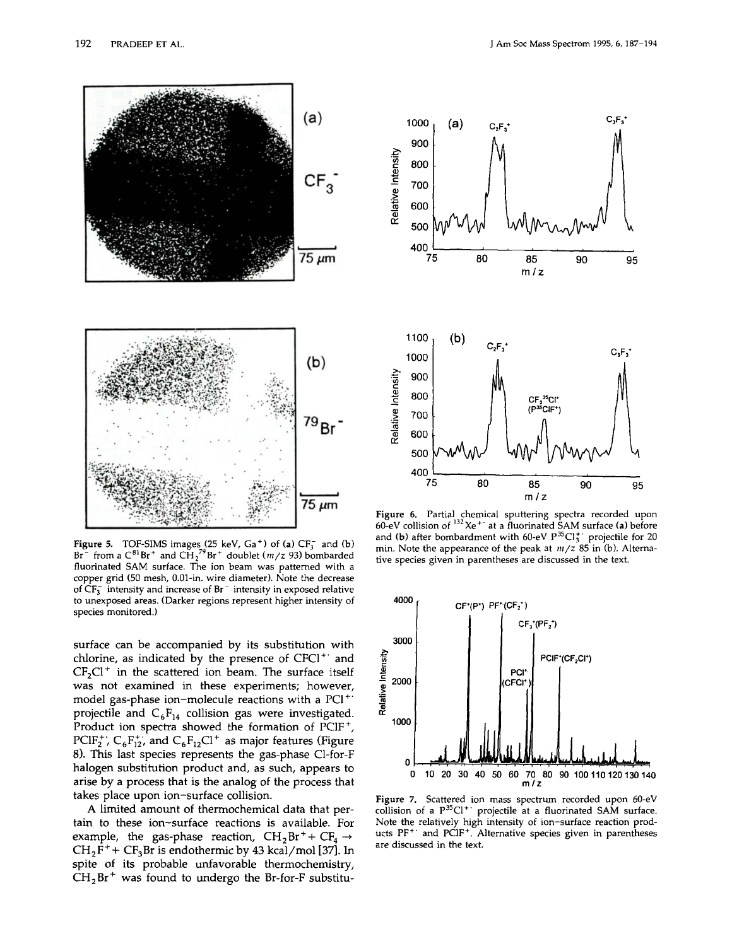

Figure 5. TOF-SIMS images (25 keV,  $Ga<sup>+</sup>$ ) of (a)  $CF<sub>3</sub><sup>-</sup>$  and (b) Br<sup>-</sup> from a  $\text{C}^{81}\text{Br}^+$  and  $\text{CH}_2^{\ 79}\text{Br}^+$  doublet (*m/z* 93) bombarded fluorinated SAM surface. The ion beam was patterned with a copper grid (50 mesh, O.OI-in. wire diameter). Note the decrease of  $CF_3^-$  intensity and increase of Br<sup>-</sup> intensity in exposed relative to unexposed areas. (Darker regions represent higher intensity of species monitored.)

surface can be accompanied by its substitution with chlorine, as indicated by the presence of  $CFCI<sup>+</sup>$  and  $CF<sub>2</sub>Cl<sup>+</sup>$  in the scattered ion beam. The surface itself was not examined in these experiments; however, model gas-phase ion-molecule reactions with a PCI<sup>+</sup> projectile and  $C_6F_{14}$  collision gas were investigated. Product ion spectra showed the formation of PClF<sup>+</sup>, PClF<sub>2</sub><sup>+</sup>, C<sub>6</sub>F<sub>12</sub><sup>+</sup>, and C<sub>6</sub>F<sub>12</sub>Cl<sup>+</sup> as major features (Figure 8). This last species represents the gas-phase Cl-for-F halogen substitution product and, as such, appears to arise by a process that is the analog of the process that takes place upon ion-surface collision.

A limited amount of thermochemical data that pertain to these ion-surface reactions is available. For example, the gas-phase reaction,  $CH_2Br^+ + CF_4 \rightarrow$  $CH_2F^+$  +  $CF_3Br$  is endothermic by 43 kcal/mol [37]. In spite of its probable unfavorable thermochemistry,  $CH<sub>2</sub>Br<sup>+</sup>$  was found to undergo the Br-for-F substitu-



Figure 6. Partial chemical sputtering spectra recorded upon 60-eV collision of  $132$  Xe<sup>++</sup> at a fluorinated SAM surface (a) before and (b) after bombardment with 60-eV *p <sup>35</sup>CJ r* projectile for 20 min. Note the appearance of the peak at *mrz* 85 in (b). Alternative species given in parentheses are discussed in the text.



Figure 7. Scattered ion mass spectrum recorded upon 60-eV collision of a  $P^{35}Cl^{+}$  projectile at a fluorinated SAM surface. Note the relatively high intensity of ion-surface reaction products PF<sup>+</sup> and PCIF<sup>+</sup>. Alternative species given in parentheses are discussed in the text.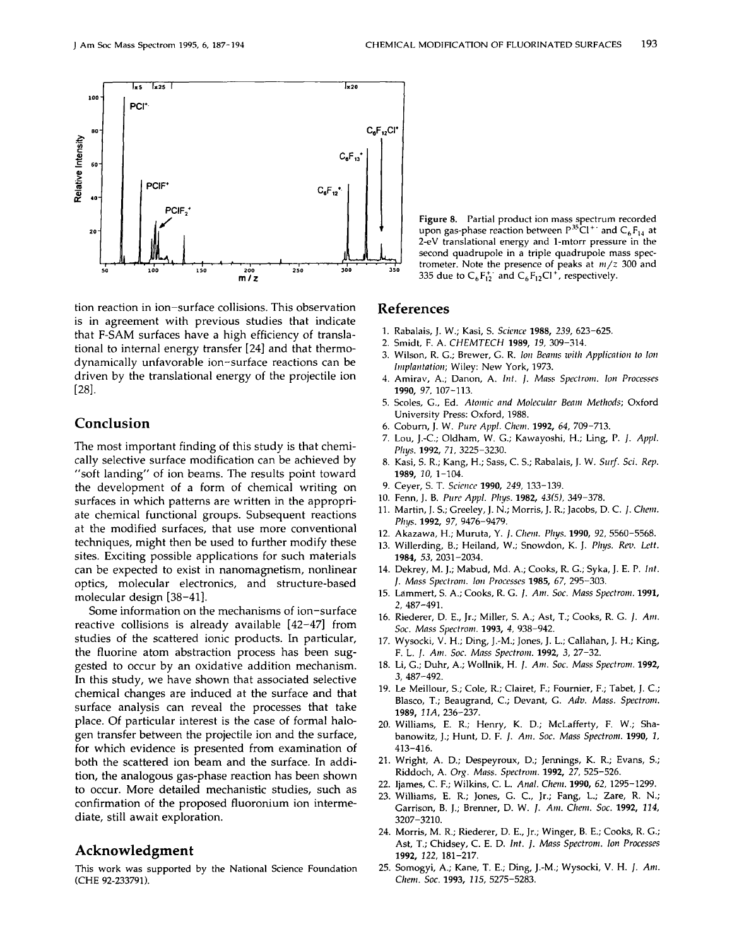

tion reaction in ion-surface collisions. This observation is in agreement with previous studies that indicate that F-SAM surfaces have a high efficiency of translational to internal energy transfer [24] and that thermodynamically unfavorable ion-surface reactions can be driven by the translational energy of the projectile ion [28].

### **Conclusion**

The most important finding of this study is that chemically selective surface modification can be achieved by "soft landing" of ion beams. The results point toward the development of a form of chemical writing on surfaces in which patterns are written in the appropriate chemical functional groups. Subsequent reactions at the modified surfaces, that use more conventional techniques, might then be used to further modify these sites. Exciting possible applications for such materials can be expected to exist in nanomagnetism, nonlinear optics, molecular electronics, and structure-based molecular design [38-41].

Some information on the mechanisms of ion-surface reactive collisions is already available [42-47] from studies of the scattered ionic products. In particular, the fluorine atom abstraction process has been suggested to occur by an oxidative addition mechanism. In this study, we have shown that associated selective chemical changes are induced at the surface and that surface analysis can reveal the processes that take place. Of particular interest is the case of formal halogen transfer between the projectile ion and the surface, for which evidence is presented from examination of both the scattered ion beam and the surface. In addition, the analogous gas-phase reaction has been shown to occur. More detailed mechanistic studies, such as confirmation of the proposed fluoronium ion intermediate, still await exploration.

#### **Acknowledgment**

This work was supported by the National Science Foundation (CHE 92-233791).

Figure 8. Partial product ion mass spectrum recorded upon gas-phase reaction between  $P^{35}$ Cl<sup>+</sup> and C<sub>6</sub>F<sub>14</sub> at 2-eV translational energy and I-mtorr pressure in the second quadrupole in a triple quadrupole mass spectrometer. Note the presence of peaks at  $m/z$  300 and 335 due to  $C_6F_{12}^+$  and  $C_6F_{12}Cl^+$ , respectively.

#### **References**

- 1. Rabalais, J. W.; Kasi, S. *Science* 1988, 239, 623-625.
- 2. Smidt, F. A. *CHEMTECH* 1989, 19,309-314.
- 3. Wilson, R. G.; Brewer, G. R. *Ion Beams with Application to Ion* Implantation; Wiley: New York, 1973.
- 4. Amirav, A.; Danon, A. Int. *J. Mass Spectrom. Ion Processes* 1990, 97, 107-113.
- 5. Scoles, G., Ed. *Atomic and Molecular Beam Melhods;* Oxford University Press: Oxford, 1988.
- 6. Coburn, J. W. *Pure Appl. Chem.* 1992, 64, 709-713.
- 7. Lou, J.-c.; Oldham, W. G.; Kawayoshi, H.; Ling, P. J. *Appl. Phys.* 1992, 71, 3225-3230.
- 8. Kasi, S. R; Kang, H.; Sass, C. S.; Rabalais, J.W. *SlIIf. Sci. Rep.* 1989, 10,1-104.
- 9. Ceyer, S. T. *Science* 1990, 249, 133-139.
- 10. Fenn. J. B. *Pure Appl. PI,ys.* 1982, 43(5), 349-378.
- 11. Martin, J. S.; Greeley, J. N.; Morris, J. R.; Jacobs, D. C. J. Chem. *Pluts,* 1992, 97, 9476-9479.
- 12. Akazawa, H.; Muruta, Y. J. Chem. Phys. 1990, 92, 5560-5568.
- 13. Willerding, B.; Heiland, W.; Snowdon, K. J. *Phys. Rev. LeU.* 1984, 53, 2031-2034.
- 14. Dekrey, M. J.; Mabud, Md. A.; Cooks, R. G.; Syka, J. E. P. Int. J. *Mass Speclrom.* Ion *Processes* 1985, 67, 295-303.
- 15. Lammert, S. A.; Cooks, R. G. ,. *Am. Soc. Mass Spectrom. 1991,* 2,487-491.
- 16. Riederer, D. E., Jr.; Miller, S. A.; Ast, T.; Cooks, R. G. J. *Am. Soc. Mass* Spectrom. 1993, 4, 938-942.
- 17. Wysocki, V. H.; Ding, J.-M.; Jones, J. L.; Callahan, J. H.; King, F. L. ,. *Am. Soc. Mass Spectrom.* 1992, 3, 27-32.
- 18. Li, G.; Duhr, A.; Wollnik, H. J. Am. Soc. Mass Spectrom. 1992, 3,487-492.
- 19. Le Meilleur, S.; Cole, R.; Clairet, F.; Fournier, F.; Tabet, J. c.; Blasco, T.; Beaugrand, c.; Devant, G. *Adv. Mass. Spectrom, 1989, l1A, 236-237.*
- 20. Williams, E. R.; Henry, K. D.; McLafferty, F. W.; Shabanowitz, J.; Hunt, D. F. f. *Am. Soc. Mass Specirom.* 1990, 1, 413-416.
- 21. Wright, A. D.; Despeyroux, D.; Jennings, K. R.; Evans, S.; Riddoch. A. *Org. Mass. Specirom,* 1992, 27, 525-526.
- 22. Ijames, C. F.; Wilkins, C. L. *Allal. Chem.* 1990, 62, 1295-1299.
- 23. Williams, E. R.; Jones, G. c, Jr.; Fang, L.; Zare, R. N.; Garrison, B. J.; Brenner, D. W. f. *Am. Chem. Soc.* 1992, 114, 3207-3210.
- 24. Morris, M. R.; Riederer, D. E., Jr.; Winger, B. E.; Cooks, R. G.; Ast, T.; Chidsey, C. E. D. Int. J. Mass Spectrom. Ion Processes 1992, 122, 181-217.
- 25. Somogyi, A.; Kane, T. E.; Ding, J.-M.; Wysocki, V. H. J. *Am. Chem. Soc.* 1993, 115,5275-5283.